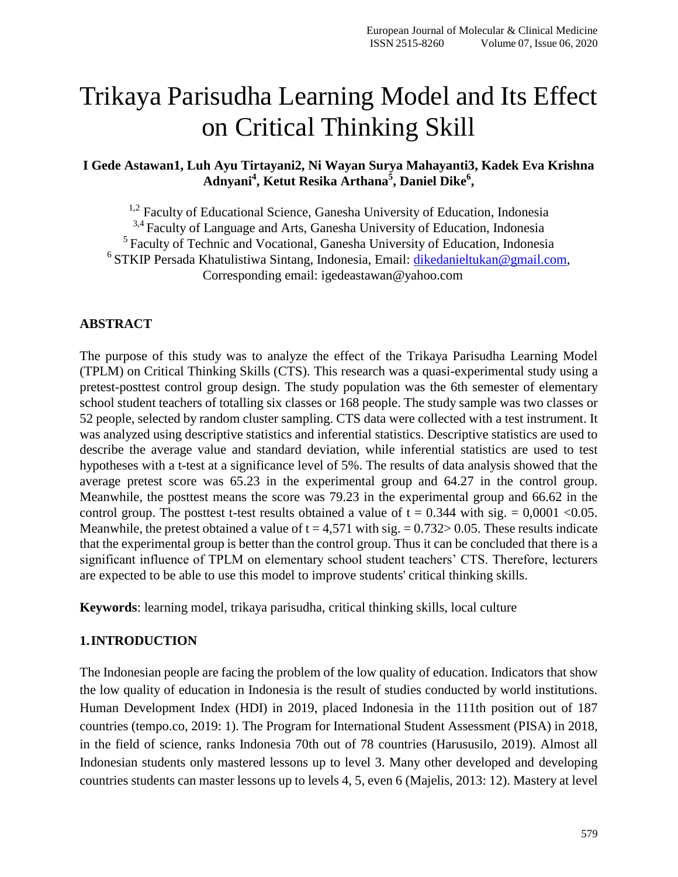# Trikaya Parisudha Learning Model and Its Effect on Critical Thinking Skill

**I Gede Astawan1, Luh Ayu Tirtayani2, Ni Wayan Surya Mahayanti3, Kadek Eva Krishna**  Adnyani<sup>4</sup>, Ketut Resika Arthana<sup>5</sup>, Daniel Dike<sup>6</sup>,

<sup>1,2</sup> Faculty of Educational Science, Ganesha University of Education, Indonesia <sup>3,4</sup> Faculty of Language and Arts, Ganesha University of Education, Indonesia <sup>5</sup> Faculty of Technic and Vocational, Ganesha University of Education, Indonesia <sup>6</sup> STKIP Persada Khatulistiwa Sintang, Indonesia, Email: [dikedanieltukan@gmail.com,](mailto:dikedanieltukan@gmail.com) Corresponding email: igedeastawan@yahoo.com

## **ABSTRACT**

The purpose of this study was to analyze the effect of the Trikaya Parisudha Learning Model (TPLM) on Critical Thinking Skills (CTS). This research was a quasi-experimental study using a pretest-posttest control group design. The study population was the 6th semester of elementary school student teachers of totalling six classes or 168 people. The study sample was two classes or 52 people, selected by random cluster sampling. CTS data were collected with a test instrument. It was analyzed using descriptive statistics and inferential statistics. Descriptive statistics are used to describe the average value and standard deviation, while inferential statistics are used to test hypotheses with a t-test at a significance level of 5%. The results of data analysis showed that the average pretest score was 65.23 in the experimental group and 64.27 in the control group. Meanwhile, the posttest means the score was 79.23 in the experimental group and 66.62 in the control group. The posttest t-test results obtained a value of  $t = 0.344$  with sig. = 0,0001 < 0.05. Meanwhile, the pretest obtained a value of  $t = 4.571$  with sig.  $= 0.732 > 0.05$ . These results indicate that the experimental group is better than the control group. Thus it can be concluded that there is a significant influence of TPLM on elementary school student teachers' CTS. Therefore, lecturers are expected to be able to use this model to improve students' critical thinking skills.

**Keywords**: learning model, trikaya parisudha, critical thinking skills, local culture

## **1.INTRODUCTION**

The Indonesian people are facing the problem of the low quality of education. Indicators that show the low quality of education in Indonesia is the result of studies conducted by world institutions. Human Development Index (HDI) in 2019, placed Indonesia in the 111th position out of 187 countries (tempo.co, 2019: 1). The Program for International Student Assessment (PISA) in 2018, in the field of science, ranks Indonesia 70th out of 78 countries (Harususilo, 2019). Almost all Indonesian students only mastered lessons up to level 3. Many other developed and developing countries students can master lessons up to levels 4, 5, even 6 (Majelis, 2013: 12). Mastery at level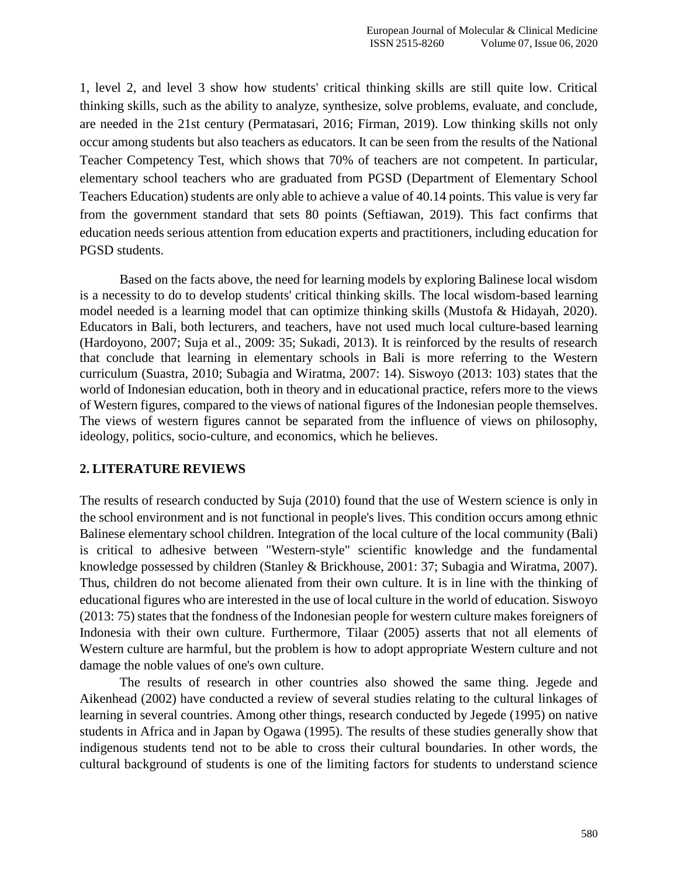1, level 2, and level 3 show how students' critical thinking skills are still quite low. Critical thinking skills, such as the ability to analyze, synthesize, solve problems, evaluate, and conclude, are needed in the 21st century (Permatasari, 2016; Firman, 2019). Low thinking skills not only occur among students but also teachers as educators. It can be seen from the results of the National Teacher Competency Test, which shows that 70% of teachers are not competent. In particular, elementary school teachers who are graduated from PGSD (Department of Elementary School Teachers Education) students are only able to achieve a value of 40.14 points. This value is very far from the government standard that sets 80 points (Seftiawan, 2019). This fact confirms that education needs serious attention from education experts and practitioners, including education for PGSD students.

Based on the facts above, the need for learning models by exploring Balinese local wisdom is a necessity to do to develop students' critical thinking skills. The local wisdom-based learning model needed is a learning model that can optimize thinking skills (Mustofa & Hidayah, 2020). Educators in Bali, both lecturers, and teachers, have not used much local culture-based learning (Hardoyono, 2007; Suja et al., 2009: 35; Sukadi, 2013). It is reinforced by the results of research that conclude that learning in elementary schools in Bali is more referring to the Western curriculum (Suastra, 2010; Subagia and Wiratma, 2007: 14). Siswoyo (2013: 103) states that the world of Indonesian education, both in theory and in educational practice, refers more to the views of Western figures, compared to the views of national figures of the Indonesian people themselves. The views of western figures cannot be separated from the influence of views on philosophy, ideology, politics, socio-culture, and economics, which he believes.

## **2. LITERATURE REVIEWS**

The results of research conducted by Suja (2010) found that the use of Western science is only in the school environment and is not functional in people's lives. This condition occurs among ethnic Balinese elementary school children. Integration of the local culture of the local community (Bali) is critical to adhesive between "Western-style" scientific knowledge and the fundamental knowledge possessed by children (Stanley & Brickhouse, 2001: 37; Subagia and Wiratma, 2007). Thus, children do not become alienated from their own culture. It is in line with the thinking of educational figures who are interested in the use of local culture in the world of education. Siswoyo (2013: 75) states that the fondness of the Indonesian people for western culture makes foreigners of Indonesia with their own culture. Furthermore, Tilaar (2005) asserts that not all elements of Western culture are harmful, but the problem is how to adopt appropriate Western culture and not damage the noble values of one's own culture.

The results of research in other countries also showed the same thing. Jegede and Aikenhead (2002) have conducted a review of several studies relating to the cultural linkages of learning in several countries. Among other things, research conducted by Jegede (1995) on native students in Africa and in Japan by Ogawa (1995). The results of these studies generally show that indigenous students tend not to be able to cross their cultural boundaries. In other words, the cultural background of students is one of the limiting factors for students to understand science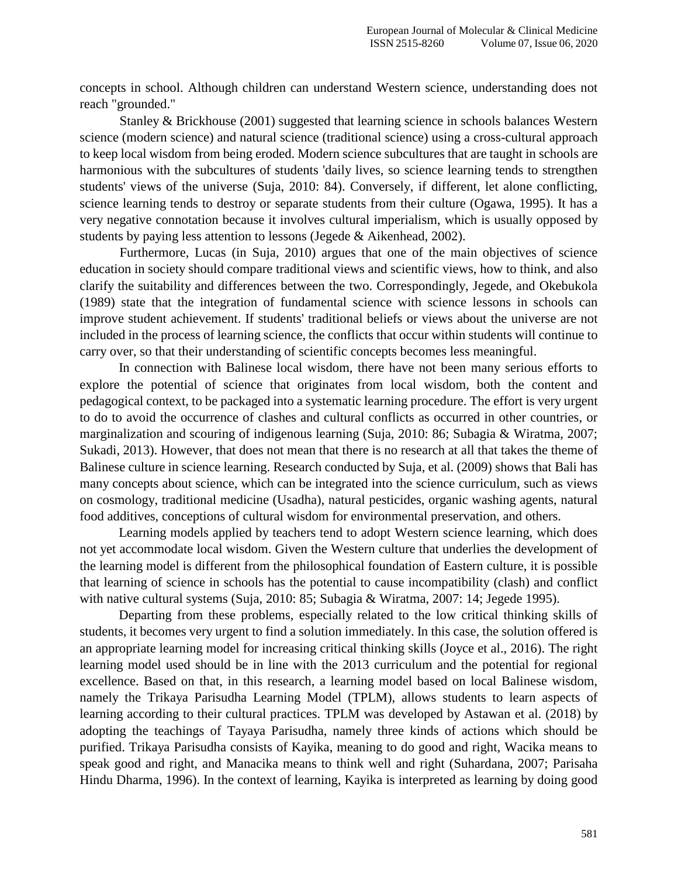concepts in school. Although children can understand Western science, understanding does not reach "grounded."

Stanley & Brickhouse (2001) suggested that learning science in schools balances Western science (modern science) and natural science (traditional science) using a cross-cultural approach to keep local wisdom from being eroded. Modern science subcultures that are taught in schools are harmonious with the subcultures of students 'daily lives, so science learning tends to strengthen students' views of the universe (Suja, 2010: 84). Conversely, if different, let alone conflicting, science learning tends to destroy or separate students from their culture (Ogawa, 1995). It has a very negative connotation because it involves cultural imperialism, which is usually opposed by students by paying less attention to lessons (Jegede & Aikenhead, 2002).

Furthermore, Lucas (in Suja, 2010) argues that one of the main objectives of science education in society should compare traditional views and scientific views, how to think, and also clarify the suitability and differences between the two. Correspondingly, Jegede, and Okebukola (1989) state that the integration of fundamental science with science lessons in schools can improve student achievement. If students' traditional beliefs or views about the universe are not included in the process of learning science, the conflicts that occur within students will continue to carry over, so that their understanding of scientific concepts becomes less meaningful.

In connection with Balinese local wisdom, there have not been many serious efforts to explore the potential of science that originates from local wisdom, both the content and pedagogical context, to be packaged into a systematic learning procedure. The effort is very urgent to do to avoid the occurrence of clashes and cultural conflicts as occurred in other countries, or marginalization and scouring of indigenous learning (Suja, 2010: 86; Subagia & Wiratma, 2007; Sukadi, 2013). However, that does not mean that there is no research at all that takes the theme of Balinese culture in science learning. Research conducted by Suja, et al. (2009) shows that Bali has many concepts about science, which can be integrated into the science curriculum, such as views on cosmology, traditional medicine (Usadha), natural pesticides, organic washing agents, natural food additives, conceptions of cultural wisdom for environmental preservation, and others.

Learning models applied by teachers tend to adopt Western science learning, which does not yet accommodate local wisdom. Given the Western culture that underlies the development of the learning model is different from the philosophical foundation of Eastern culture, it is possible that learning of science in schools has the potential to cause incompatibility (clash) and conflict with native cultural systems (Suja, 2010: 85; Subagia & Wiratma, 2007: 14; Jegede 1995).

Departing from these problems, especially related to the low critical thinking skills of students, it becomes very urgent to find a solution immediately. In this case, the solution offered is an appropriate learning model for increasing critical thinking skills (Joyce et al., 2016). The right learning model used should be in line with the 2013 curriculum and the potential for regional excellence. Based on that, in this research, a learning model based on local Balinese wisdom, namely the Trikaya Parisudha Learning Model (TPLM), allows students to learn aspects of learning according to their cultural practices. TPLM was developed by Astawan et al. (2018) by adopting the teachings of Tayaya Parisudha, namely three kinds of actions which should be purified. Trikaya Parisudha consists of Kayika, meaning to do good and right, Wacika means to speak good and right, and Manacika means to think well and right (Suhardana, 2007; Parisaha Hindu Dharma, 1996). In the context of learning, Kayika is interpreted as learning by doing good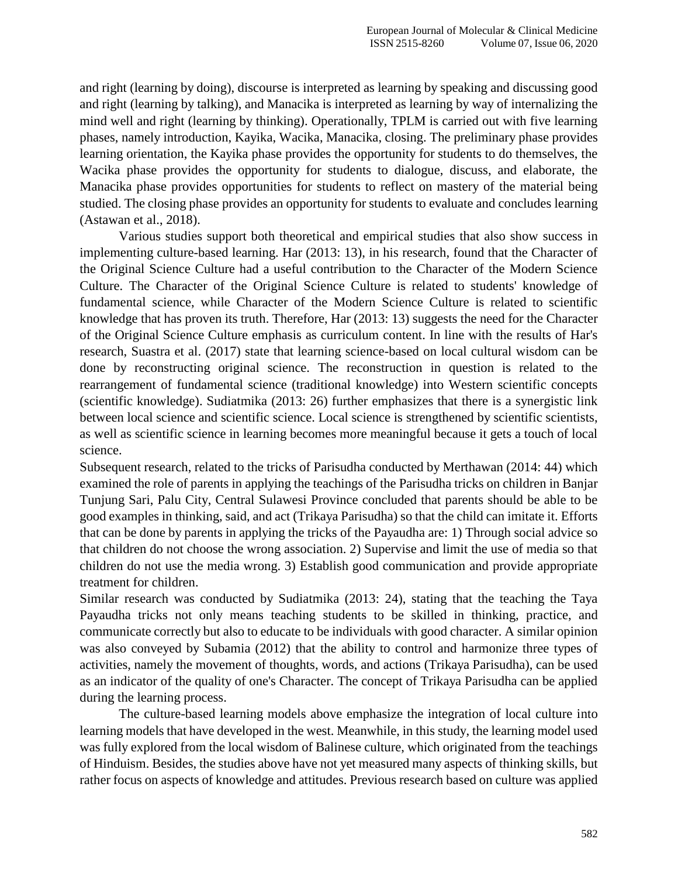and right (learning by doing), discourse is interpreted as learning by speaking and discussing good and right (learning by talking), and Manacika is interpreted as learning by way of internalizing the mind well and right (learning by thinking). Operationally, TPLM is carried out with five learning phases, namely introduction, Kayika, Wacika, Manacika, closing. The preliminary phase provides learning orientation, the Kayika phase provides the opportunity for students to do themselves, the Wacika phase provides the opportunity for students to dialogue, discuss, and elaborate, the Manacika phase provides opportunities for students to reflect on mastery of the material being studied. The closing phase provides an opportunity for students to evaluate and concludes learning (Astawan et al., 2018).

Various studies support both theoretical and empirical studies that also show success in implementing culture-based learning. Har (2013: 13), in his research, found that the Character of the Original Science Culture had a useful contribution to the Character of the Modern Science Culture. The Character of the Original Science Culture is related to students' knowledge of fundamental science, while Character of the Modern Science Culture is related to scientific knowledge that has proven its truth. Therefore, Har (2013: 13) suggests the need for the Character of the Original Science Culture emphasis as curriculum content. In line with the results of Har's research, Suastra et al. (2017) state that learning science-based on local cultural wisdom can be done by reconstructing original science. The reconstruction in question is related to the rearrangement of fundamental science (traditional knowledge) into Western scientific concepts (scientific knowledge). Sudiatmika (2013: 26) further emphasizes that there is a synergistic link between local science and scientific science. Local science is strengthened by scientific scientists, as well as scientific science in learning becomes more meaningful because it gets a touch of local science.

Subsequent research, related to the tricks of Parisudha conducted by Merthawan (2014: 44) which examined the role of parents in applying the teachings of the Parisudha tricks on children in Banjar Tunjung Sari, Palu City, Central Sulawesi Province concluded that parents should be able to be good examples in thinking, said, and act (Trikaya Parisudha) so that the child can imitate it. Efforts that can be done by parents in applying the tricks of the Payaudha are: 1) Through social advice so that children do not choose the wrong association. 2) Supervise and limit the use of media so that children do not use the media wrong. 3) Establish good communication and provide appropriate treatment for children.

Similar research was conducted by Sudiatmika (2013: 24), stating that the teaching the Taya Payaudha tricks not only means teaching students to be skilled in thinking, practice, and communicate correctly but also to educate to be individuals with good character. A similar opinion was also conveyed by Subamia (2012) that the ability to control and harmonize three types of activities, namely the movement of thoughts, words, and actions (Trikaya Parisudha), can be used as an indicator of the quality of one's Character. The concept of Trikaya Parisudha can be applied during the learning process.

The culture-based learning models above emphasize the integration of local culture into learning models that have developed in the west. Meanwhile, in this study, the learning model used was fully explored from the local wisdom of Balinese culture, which originated from the teachings of Hinduism. Besides, the studies above have not yet measured many aspects of thinking skills, but rather focus on aspects of knowledge and attitudes. Previous research based on culture was applied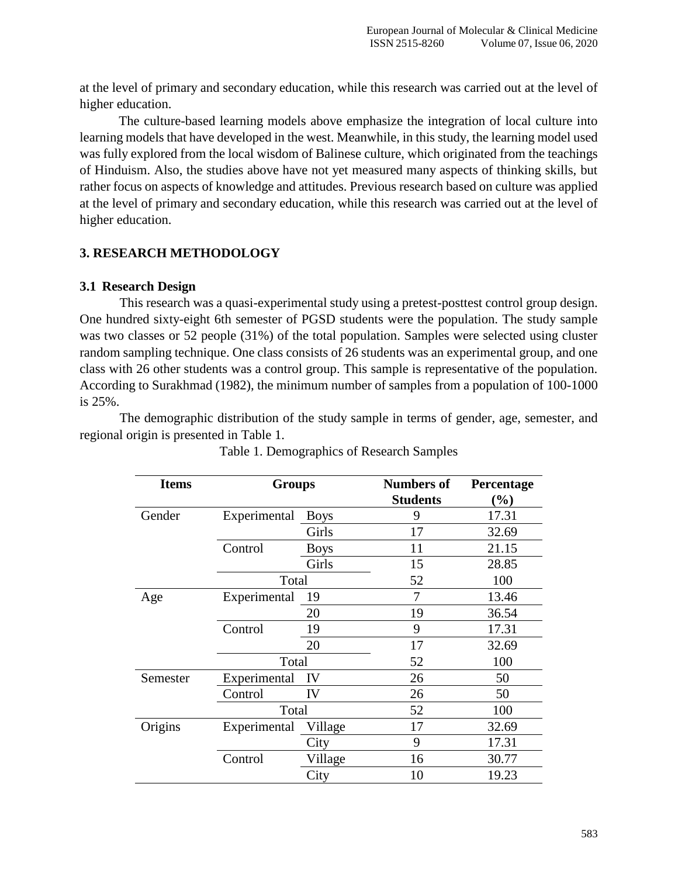at the level of primary and secondary education, while this research was carried out at the level of higher education.

The culture-based learning models above emphasize the integration of local culture into learning models that have developed in the west. Meanwhile, in this study, the learning model used was fully explored from the local wisdom of Balinese culture, which originated from the teachings of Hinduism. Also, the studies above have not yet measured many aspects of thinking skills, but rather focus on aspects of knowledge and attitudes. Previous research based on culture was applied at the level of primary and secondary education, while this research was carried out at the level of higher education.

# **3. RESEARCH METHODOLOGY**

## **3.1 Research Design**

This research was a quasi-experimental study using a pretest-posttest control group design. One hundred sixty-eight 6th semester of PGSD students were the population. The study sample was two classes or 52 people (31%) of the total population. Samples were selected using cluster random sampling technique. One class consists of 26 students was an experimental group, and one class with 26 other students was a control group. This sample is representative of the population. According to Surakhmad (1982), the minimum number of samples from a population of 100-1000 is 25%.

The demographic distribution of the study sample in terms of gender, age, semester, and regional origin is presented in Table 1.

| <b>Items</b> | <b>Groups</b> |             | <b>Numbers of</b> | Percentage |  |  |
|--------------|---------------|-------------|-------------------|------------|--|--|
|              |               |             | <b>Students</b>   | (%)        |  |  |
| Gender       | Experimental  | <b>Boys</b> | 9                 | 17.31      |  |  |
|              |               | Girls       | 17                | 32.69      |  |  |
|              | Control       | <b>Boys</b> | 11                | 21.15      |  |  |
|              |               | Girls       | 15                | 28.85      |  |  |
|              | Total         |             | 52                | 100        |  |  |
| Age          | Experimental  | 19          | 7                 | 13.46      |  |  |
|              |               | 19<br>20    |                   |            |  |  |
|              | Control       | 19          | 9                 | 17.31      |  |  |
|              |               | 20          | 17                | 32.69      |  |  |
|              | Total         |             | 52                | 100        |  |  |
| Semester     | Experimental  | IV          | 26                | 50         |  |  |
|              | Control       | IV          | 26                | 50         |  |  |
|              | Total         |             | 52                | 100        |  |  |
| Origins      | Experimental  | Village     | 17                | 32.69      |  |  |
|              |               | City        | 9                 | 17.31      |  |  |
|              | Control       | Village     | 16                | 30.77      |  |  |
|              |               | City        | 10                | 19.23      |  |  |

Table 1. Demographics of Research Samples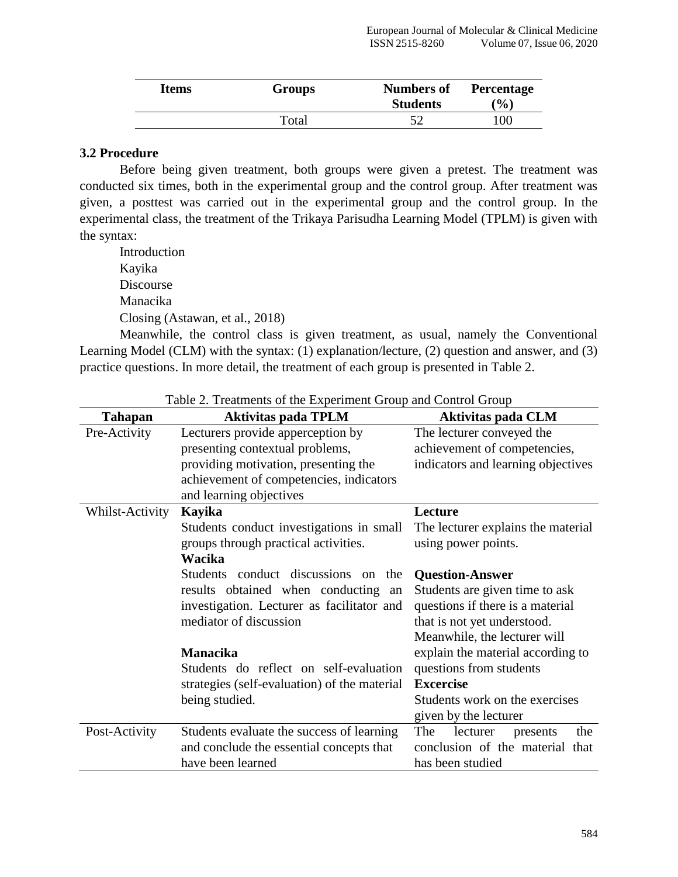| Items | Groups | <b>Numbers of</b><br><b>Students</b> | <b>Percentage</b><br>$(\%)$ |
|-------|--------|--------------------------------------|-----------------------------|
|       | Total  | 57                                   | 100                         |

#### **3.2 Procedure**

Before being given treatment, both groups were given a pretest. The treatment was conducted six times, both in the experimental group and the control group. After treatment was given, a posttest was carried out in the experimental group and the control group. In the experimental class, the treatment of the Trikaya Parisudha Learning Model (TPLM) is given with the syntax:

Introduction Kayika Discourse Manacika Closing (Astawan, et al., 2018)

Meanwhile, the control class is given treatment, as usual, namely the Conventional Learning Model (CLM) with the syntax: (1) explanation/lecture, (2) question and answer, and (3) practice questions. In more detail, the treatment of each group is presented in Table 2.

| <b>Tahapan</b>  | <b>Aktivitas pada TPLM</b>                            | <b>Aktivitas pada CLM</b>          |  |  |  |
|-----------------|-------------------------------------------------------|------------------------------------|--|--|--|
| Pre-Activity    | Lecturers provide apperception by                     | The lecturer conveyed the          |  |  |  |
|                 | presenting contextual problems,                       | achievement of competencies,       |  |  |  |
|                 | providing motivation, presenting the                  | indicators and learning objectives |  |  |  |
|                 | achievement of competencies, indicators               |                                    |  |  |  |
|                 | and learning objectives                               |                                    |  |  |  |
| Whilst-Activity | Kayika                                                | Lecture                            |  |  |  |
|                 | Students conduct investigations in small              | The lecturer explains the material |  |  |  |
|                 | groups through practical activities.                  | using power points.                |  |  |  |
|                 | Wacika                                                |                                    |  |  |  |
|                 | <b>Students</b><br>conduct discussions on<br>the      | <b>Question-Answer</b>             |  |  |  |
|                 | results obtained when conducting<br>an                | Students are given time to ask     |  |  |  |
|                 | investigation. Lecturer as facilitator and            | questions if there is a material   |  |  |  |
|                 | mediator of discussion<br>that is not yet understood. |                                    |  |  |  |
|                 | Meanwhile, the lecturer will                          |                                    |  |  |  |
|                 | <b>Manacika</b>                                       | explain the material according to  |  |  |  |
|                 | Students do reflect on self-evaluation                | questions from students            |  |  |  |
|                 | strategies (self-evaluation) of the material          | <b>Excercise</b>                   |  |  |  |
|                 | being studied.                                        | Students work on the exercises     |  |  |  |
|                 |                                                       | given by the lecturer              |  |  |  |
| Post-Activity   | Students evaluate the success of learning             | The<br>lecturer<br>the<br>presents |  |  |  |
|                 | and conclude the essential concepts that              | conclusion of the material that    |  |  |  |
|                 | have been learned                                     | has been studied                   |  |  |  |

Table 2. Treatments of the Experiment Group and Control Group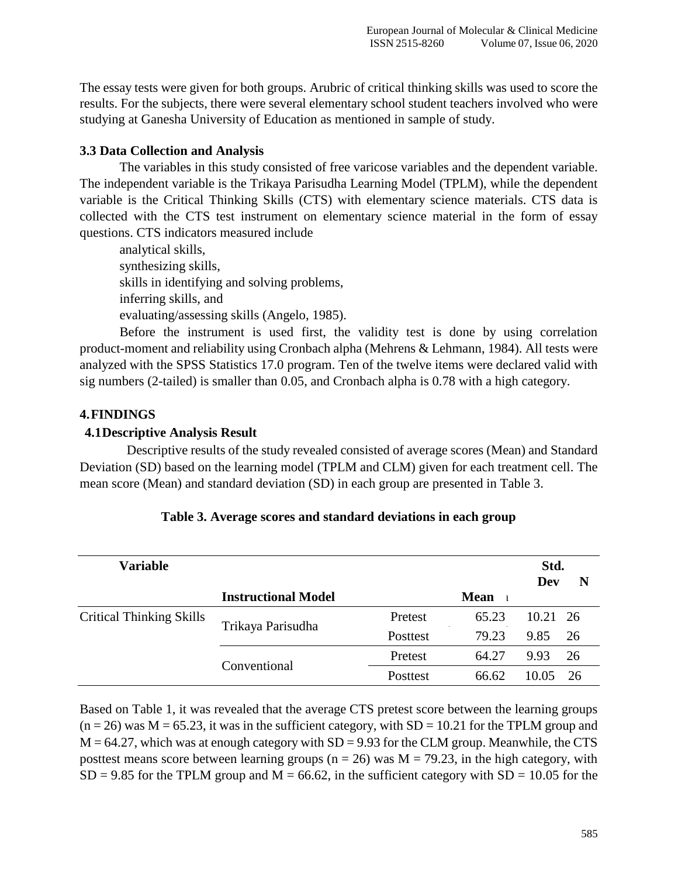The essay tests were given for both groups. Arubric of critical thinking skills was used to score the results. For the subjects, there were several elementary school student teachers involved who were studying at Ganesha University of Education as mentioned in sample of study.

## **3.3 Data Collection and Analysis**

The variables in this study consisted of free varicose variables and the dependent variable. The independent variable is the Trikaya Parisudha Learning Model (TPLM), while the dependent variable is the Critical Thinking Skills (CTS) with elementary science materials. CTS data is collected with the CTS test instrument on elementary science material in the form of essay questions. CTS indicators measured include

analytical skills, synthesizing skills, skills in identifying and solving problems, inferring skills, and evaluating/assessing skills (Angelo, 1985).

Before the instrument is used first, the validity test is done by using correlation product-moment and reliability using Cronbach alpha (Mehrens & Lehmann, 1984). All tests were analyzed with the SPSS Statistics 17.0 program. Ten of the twelve items were declared valid with sig numbers (2-tailed) is smaller than 0.05, and Cronbach alpha is 0.78 with a high category.

## **4.FINDINGS**

## **4.1Descriptive Analysis Result**

Descriptive results of the study revealed consisted of average scores (Mean) and Standard Deviation (SD) based on the learning model (TPLM and CLM) given for each treatment cell. The mean score (Mean) and standard deviation (SD) in each group are presented in Table 3.

| <b>Variable</b>                 |                            |          |             | Std.<br>Dev | N  |
|---------------------------------|----------------------------|----------|-------------|-------------|----|
|                                 | <b>Instructional Model</b> |          | <b>Mean</b> |             |    |
| <b>Critical Thinking Skills</b> | Trikaya Parisudha          | Pretest  | 65.23       | 10.21 26    |    |
|                                 |                            | Posttest | 79.23       | 9.85        | 26 |
|                                 | Conventional               | Pretest  | 64.27       | 9.93        | 26 |
|                                 |                            | Posttest | 66.62       | 10.05       | 26 |

## **Table 3. Average scores and standard deviations in each group**

Based on Table 1, it was revealed that the average CTS pretest score between the learning groups  $(n = 26)$  was  $M = 65.23$ , it was in the sufficient category, with  $SD = 10.21$  for the TPLM group and  $M = 64.27$ , which was at enough category with  $SD = 9.93$  for the CLM group. Meanwhile, the CTS posttest means score between learning groups ( $n = 26$ ) was  $M = 79.23$ , in the high category, with  $SD = 9.85$  for the TPLM group and  $M = 66.62$ , in the sufficient category with  $SD = 10.05$  for the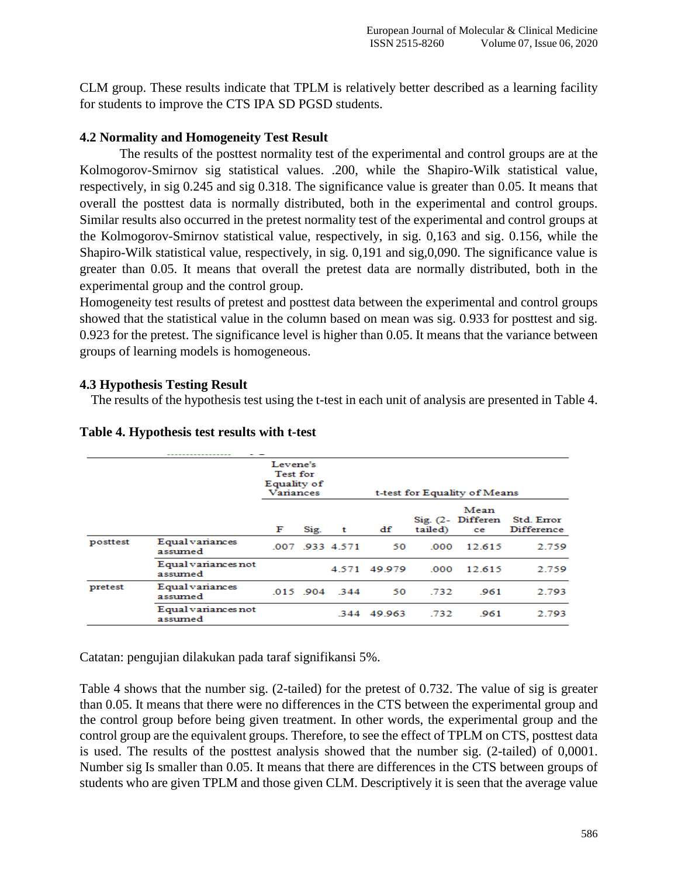CLM group. These results indicate that TPLM is relatively better described as a learning facility for students to improve the CTS IPA SD PGSD students.

## **4.2 Normality and Homogeneity Test Result**

The results of the posttest normality test of the experimental and control groups are at the Kolmogorov-Smirnov sig statistical values. .200, while the Shapiro-Wilk statistical value, respectively, in sig 0.245 and sig 0.318. The significance value is greater than 0.05. It means that overall the posttest data is normally distributed, both in the experimental and control groups. Similar results also occurred in the pretest normality test of the experimental and control groups at the Kolmogorov-Smirnov statistical value, respectively, in sig. 0,163 and sig. 0.156, while the Shapiro-Wilk statistical value, respectively, in sig. 0,191 and sig,0,090. The significance value is greater than 0.05. It means that overall the pretest data are normally distributed, both in the experimental group and the control group.

Homogeneity test results of pretest and posttest data between the experimental and control groups showed that the statistical value in the column based on mean was sig. 0.933 for posttest and sig. 0.923 for the pretest. The significance level is higher than 0.05. It means that the variance between groups of learning models is homogeneous.

### **4.3 Hypothesis Testing Result**

The results of the hypothesis test using the t-test in each unit of analysis are presented in Table 4.

|          |                                | Levene's<br><b>Test for</b><br>Equality of<br><b>Variances</b> |      |                 |        |         | t-test for Equality of Means    |                                 |
|----------|--------------------------------|----------------------------------------------------------------|------|-----------------|--------|---------|---------------------------------|---------------------------------|
|          |                                | F                                                              | Sig. | t               | df     | tailed) | Mean<br>Sig. (2- Differen<br>ce | Std. Error<br><b>Difference</b> |
| posttest | Equal variances<br>assumed     |                                                                |      | .007 .933 4.571 | 50     | .000    | 12.615                          | 2.759                           |
|          | Equal variances not<br>assumed |                                                                |      | 4.571           | 49.979 | .000    | 12.615                          | 2.759                           |
| pretest  | Equal variances<br>assumed     |                                                                |      | .015 .904 .344  | 50     | .732    | .961                            | 2.793                           |
|          | Equal variances not<br>assumed |                                                                |      | 344             | 49.963 | .732    | 961                             | 2.793                           |

### **Table 4. Hypothesis test results with t-test**

Catatan: pengujian dilakukan pada taraf signifikansi 5%.

Table 4 shows that the number sig. (2-tailed) for the pretest of 0.732. The value of sig is greater than 0.05. It means that there were no differences in the CTS between the experimental group and the control group before being given treatment. In other words, the experimental group and the control group are the equivalent groups. Therefore, to see the effect of TPLM on CTS, posttest data is used. The results of the posttest analysis showed that the number sig. (2-tailed) of 0,0001. Number sig Is smaller than 0.05. It means that there are differences in the CTS between groups of students who are given TPLM and those given CLM. Descriptively it is seen that the average value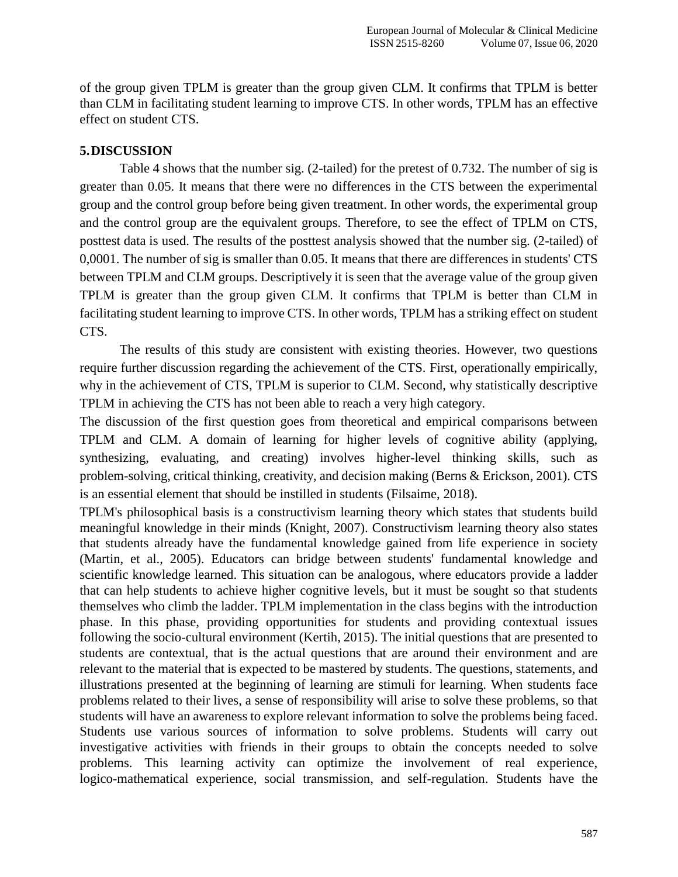of the group given TPLM is greater than the group given CLM. It confirms that TPLM is better than CLM in facilitating student learning to improve CTS. In other words, TPLM has an effective effect on student CTS.

## **5.DISCUSSION**

Table 4 shows that the number sig. (2-tailed) for the pretest of 0.732. The number of sig is greater than 0.05. It means that there were no differences in the CTS between the experimental group and the control group before being given treatment. In other words, the experimental group and the control group are the equivalent groups. Therefore, to see the effect of TPLM on CTS, posttest data is used. The results of the posttest analysis showed that the number sig. (2-tailed) of 0,0001. The number of sig is smaller than 0.05. It means that there are differences in students' CTS between TPLM and CLM groups. Descriptively it is seen that the average value of the group given TPLM is greater than the group given CLM. It confirms that TPLM is better than CLM in facilitating student learning to improve CTS. In other words, TPLM has a striking effect on student CTS.

The results of this study are consistent with existing theories. However, two questions require further discussion regarding the achievement of the CTS. First, operationally empirically, why in the achievement of CTS, TPLM is superior to CLM. Second, why statistically descriptive TPLM in achieving the CTS has not been able to reach a very high category.

The discussion of the first question goes from theoretical and empirical comparisons between TPLM and CLM. A domain of learning for higher levels of cognitive ability (applying, synthesizing, evaluating, and creating) involves higher-level thinking skills, such as problem-solving, critical thinking, creativity, and decision making (Berns & Erickson, 2001). CTS is an essential element that should be instilled in students (Filsaime, 2018).

TPLM's philosophical basis is a constructivism learning theory which states that students build meaningful knowledge in their minds (Knight, 2007). Constructivism learning theory also states that students already have the fundamental knowledge gained from life experience in society (Martin, et al., 2005). Educators can bridge between students' fundamental knowledge and scientific knowledge learned. This situation can be analogous, where educators provide a ladder that can help students to achieve higher cognitive levels, but it must be sought so that students themselves who climb the ladder. TPLM implementation in the class begins with the introduction phase. In this phase, providing opportunities for students and providing contextual issues following the socio-cultural environment (Kertih, 2015). The initial questions that are presented to students are contextual, that is the actual questions that are around their environment and are relevant to the material that is expected to be mastered by students. The questions, statements, and illustrations presented at the beginning of learning are stimuli for learning. When students face problems related to their lives, a sense of responsibility will arise to solve these problems, so that students will have an awareness to explore relevant information to solve the problems being faced. Students use various sources of information to solve problems. Students will carry out investigative activities with friends in their groups to obtain the concepts needed to solve problems. This learning activity can optimize the involvement of real experience, logico-mathematical experience, social transmission, and self-regulation. Students have the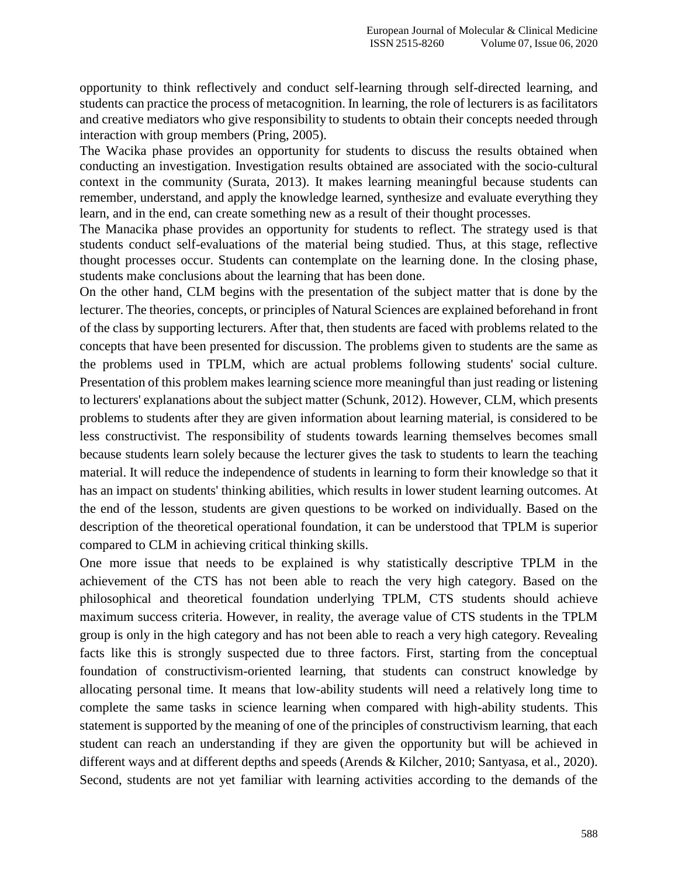opportunity to think reflectively and conduct self-learning through self-directed learning, and students can practice the process of metacognition. In learning, the role of lecturers is as facilitators and creative mediators who give responsibility to students to obtain their concepts needed through interaction with group members (Pring, 2005).

The Wacika phase provides an opportunity for students to discuss the results obtained when conducting an investigation. Investigation results obtained are associated with the socio-cultural context in the community (Surata, 2013). It makes learning meaningful because students can remember, understand, and apply the knowledge learned, synthesize and evaluate everything they learn, and in the end, can create something new as a result of their thought processes.

The Manacika phase provides an opportunity for students to reflect. The strategy used is that students conduct self-evaluations of the material being studied. Thus, at this stage, reflective thought processes occur. Students can contemplate on the learning done. In the closing phase, students make conclusions about the learning that has been done.

On the other hand, CLM begins with the presentation of the subject matter that is done by the lecturer. The theories, concepts, or principles of Natural Sciences are explained beforehand in front of the class by supporting lecturers. After that, then students are faced with problems related to the concepts that have been presented for discussion. The problems given to students are the same as the problems used in TPLM, which are actual problems following students' social culture. Presentation of this problem makes learning science more meaningful than just reading or listening to lecturers' explanations about the subject matter (Schunk, 2012). However, CLM, which presents problems to students after they are given information about learning material, is considered to be less constructivist. The responsibility of students towards learning themselves becomes small because students learn solely because the lecturer gives the task to students to learn the teaching material. It will reduce the independence of students in learning to form their knowledge so that it has an impact on students' thinking abilities, which results in lower student learning outcomes. At the end of the lesson, students are given questions to be worked on individually. Based on the description of the theoretical operational foundation, it can be understood that TPLM is superior compared to CLM in achieving critical thinking skills.

One more issue that needs to be explained is why statistically descriptive TPLM in the achievement of the CTS has not been able to reach the very high category. Based on the philosophical and theoretical foundation underlying TPLM, CTS students should achieve maximum success criteria. However, in reality, the average value of CTS students in the TPLM group is only in the high category and has not been able to reach a very high category. Revealing facts like this is strongly suspected due to three factors. First, starting from the conceptual foundation of constructivism-oriented learning, that students can construct knowledge by allocating personal time. It means that low-ability students will need a relatively long time to complete the same tasks in science learning when compared with high-ability students. This statement is supported by the meaning of one of the principles of constructivism learning, that each student can reach an understanding if they are given the opportunity but will be achieved in different ways and at different depths and speeds (Arends & Kilcher, 2010; Santyasa, et al., 2020). Second, students are not yet familiar with learning activities according to the demands of the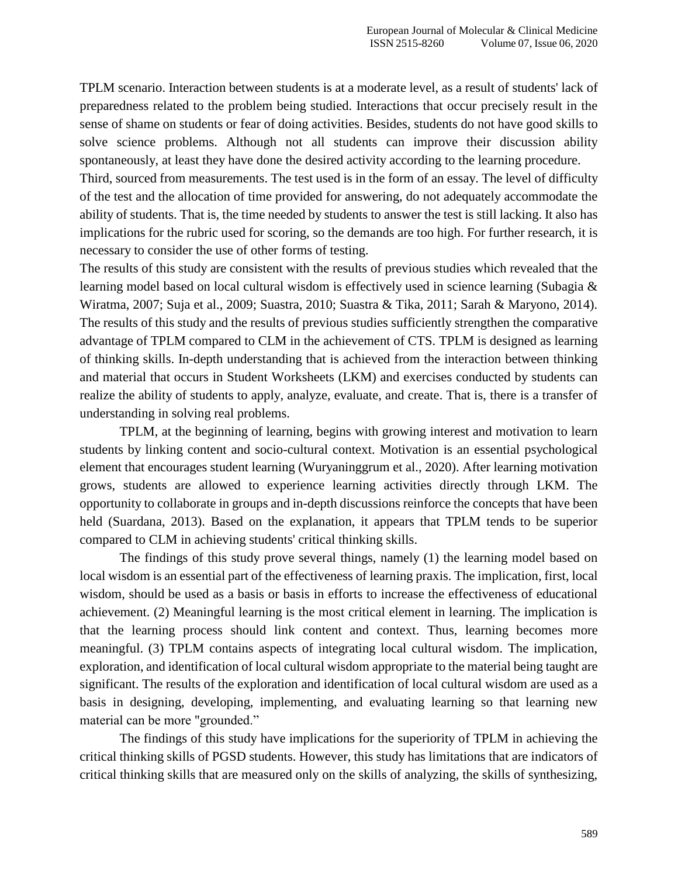TPLM scenario. Interaction between students is at a moderate level, as a result of students' lack of preparedness related to the problem being studied. Interactions that occur precisely result in the sense of shame on students or fear of doing activities. Besides, students do not have good skills to solve science problems. Although not all students can improve their discussion ability spontaneously, at least they have done the desired activity according to the learning procedure.

Third, sourced from measurements. The test used is in the form of an essay. The level of difficulty of the test and the allocation of time provided for answering, do not adequately accommodate the ability of students. That is, the time needed by students to answer the test is still lacking. It also has implications for the rubric used for scoring, so the demands are too high. For further research, it is necessary to consider the use of other forms of testing.

The results of this study are consistent with the results of previous studies which revealed that the learning model based on local cultural wisdom is effectively used in science learning (Subagia & Wiratma, 2007; Suja et al., 2009; Suastra, 2010; Suastra & Tika, 2011; Sarah & Maryono, 2014). The results of this study and the results of previous studies sufficiently strengthen the comparative advantage of TPLM compared to CLM in the achievement of CTS. TPLM is designed as learning of thinking skills. In-depth understanding that is achieved from the interaction between thinking and material that occurs in Student Worksheets (LKM) and exercises conducted by students can realize the ability of students to apply, analyze, evaluate, and create. That is, there is a transfer of understanding in solving real problems.

TPLM, at the beginning of learning, begins with growing interest and motivation to learn students by linking content and socio-cultural context. Motivation is an essential psychological element that encourages student learning (Wuryaninggrum et al., 2020). After learning motivation grows, students are allowed to experience learning activities directly through LKM. The opportunity to collaborate in groups and in-depth discussions reinforce the concepts that have been held (Suardana, 2013). Based on the explanation, it appears that TPLM tends to be superior compared to CLM in achieving students' critical thinking skills.

The findings of this study prove several things, namely (1) the learning model based on local wisdom is an essential part of the effectiveness of learning praxis. The implication, first, local wisdom, should be used as a basis or basis in efforts to increase the effectiveness of educational achievement. (2) Meaningful learning is the most critical element in learning. The implication is that the learning process should link content and context. Thus, learning becomes more meaningful. (3) TPLM contains aspects of integrating local cultural wisdom. The implication, exploration, and identification of local cultural wisdom appropriate to the material being taught are significant. The results of the exploration and identification of local cultural wisdom are used as a basis in designing, developing, implementing, and evaluating learning so that learning new material can be more "grounded."

The findings of this study have implications for the superiority of TPLM in achieving the critical thinking skills of PGSD students. However, this study has limitations that are indicators of critical thinking skills that are measured only on the skills of analyzing, the skills of synthesizing,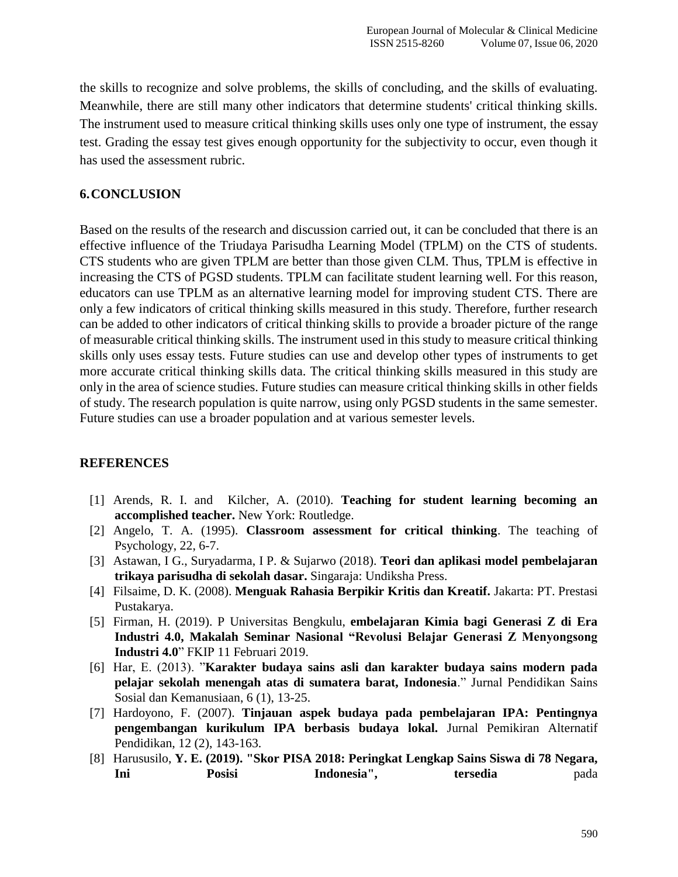the skills to recognize and solve problems, the skills of concluding, and the skills of evaluating. Meanwhile, there are still many other indicators that determine students' critical thinking skills. The instrument used to measure critical thinking skills uses only one type of instrument, the essay test. Grading the essay test gives enough opportunity for the subjectivity to occur, even though it has used the assessment rubric.

### **6.CONCLUSION**

Based on the results of the research and discussion carried out, it can be concluded that there is an effective influence of the Triudaya Parisudha Learning Model (TPLM) on the CTS of students. CTS students who are given TPLM are better than those given CLM. Thus, TPLM is effective in increasing the CTS of PGSD students. TPLM can facilitate student learning well. For this reason, educators can use TPLM as an alternative learning model for improving student CTS. There are only a few indicators of critical thinking skills measured in this study. Therefore, further research can be added to other indicators of critical thinking skills to provide a broader picture of the range of measurable critical thinking skills. The instrument used in this study to measure critical thinking skills only uses essay tests. Future studies can use and develop other types of instruments to get more accurate critical thinking skills data. The critical thinking skills measured in this study are only in the area of science studies. Future studies can measure critical thinking skills in other fields of study. The research population is quite narrow, using only PGSD students in the same semester. Future studies can use a broader population and at various semester levels.

#### **REFERENCES**

- [1] Arends, R. I. and Kilcher, A. (2010). **Teaching for student learning becoming an accomplished teacher.** New York: Routledge.
- [2] Angelo, T. A. (1995). **Classroom assessment for critical thinking**. The teaching of Psychology, 22, 6-7.
- [3] Astawan, I G., Suryadarma, I P. & Sujarwo (2018). **Teori dan aplikasi model pembelajaran trikaya parisudha di sekolah dasar.** Singaraja: Undiksha Press.
- [4] Filsaime, D. K. (2008). **Menguak Rahasia Berpikir Kritis dan Kreatif.** Jakarta: PT. Prestasi Pustakarya.
- [5] Firman, H. (2019). P Universitas Bengkulu, **embelajaran Kimia bagi Generasi Z di Era Industri 4.0, Makalah Seminar Nasional "Revolusi Belajar Generasi Z Menyongsong Industri 4.0**" FKIP 11 Februari 2019.
- [6] Har, E. (2013). "**Karakter budaya sains asli dan karakter budaya sains modern pada pelajar sekolah menengah atas di sumatera barat, Indonesia**." Jurnal Pendidikan Sains Sosial dan Kemanusiaan, 6 (1), 13-25.
- [7] Hardoyono, F. (2007). **Tinjauan aspek budaya pada pembelajaran IPA: Pentingnya pengembangan kurikulum IPA berbasis budaya lokal.** Jurnal Pemikiran Alternatif Pendidikan, 12 (2), 143-163.
- [8] Harususilo, **Y. E. (2019). "Skor PISA 2018: Peringkat Lengkap Sains Siswa di 78 Negara, Ini Posisi Indonesia", tersedia** pada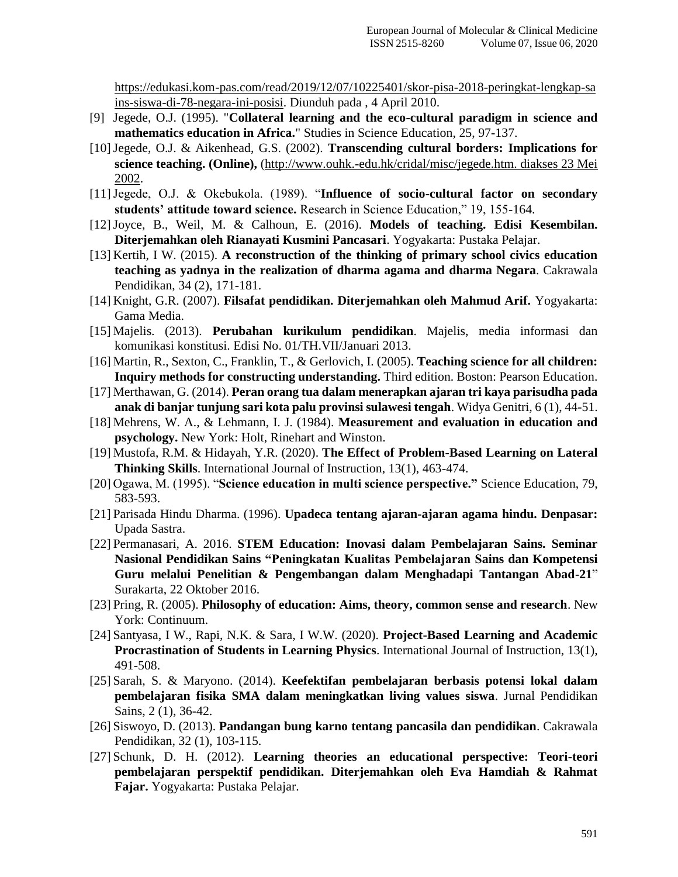[https://edukasi.kom-pas.com/read/2019/12/07/10225401/skor-pisa-2018-peringkat-lengkap-sa](https://edukasi.kompas.com/read/2019/12/07/10225401/skor-pisa-2018-peringkat-lengkap-sains-siswa-di-78-negara-ini-posisi) [ins-siswa-di-78-negara-ini-posisi.](https://edukasi.kompas.com/read/2019/12/07/10225401/skor-pisa-2018-peringkat-lengkap-sains-siswa-di-78-negara-ini-posisi) Diunduh pada , 4 April 2010.

- [9] Jegede, O.J. (1995). "**Collateral learning and the eco-cultural paradigm in science and mathematics education in Africa.**" Studies in Science Education, 25, 97-137.
- [10]Jegede, O.J. & Aikenhead, G.S. (2002). **Transcending cultural borders: Implications for science teaching. (Online),** [\(http://www.ouhk.-edu.hk/cridal/misc/jegede.htm. diakses 23 Mei](http://www.ouhk.-edu.hk/cridal/misc/jegede.htm.%20diakses%2023%20Mei%202002)  [2002.](http://www.ouhk.-edu.hk/cridal/misc/jegede.htm.%20diakses%2023%20Mei%202002)
- [11]Jegede, O.J. & Okebukola. (1989). "**Influence of socio-cultural factor on secondary students' attitude toward science.** Research in Science Education," 19, 155-164.
- [12]Joyce, B., Weil, M. & Calhoun, E. (2016). **Models of teaching. Edisi Kesembilan. Diterjemahkan oleh Rianayati Kusmini Pancasari**. Yogyakarta: Pustaka Pelajar.
- [13] Kertih, I W. (2015). **A reconstruction of the thinking of primary school civics education teaching as yadnya in the realization of dharma agama and dharma Negara**. Cakrawala Pendidikan, 34 (2), 171-181.
- [14] Knight, G.R. (2007). **Filsafat pendidikan. Diterjemahkan oleh Mahmud Arif.** Yogyakarta: Gama Media.
- [15] Majelis. (2013). **Perubahan kurikulum pendidikan**. Majelis, media informasi dan komunikasi konstitusi. Edisi No. 01/TH.VII/Januari 2013.
- [16] Martin, R., Sexton, C., Franklin, T., & Gerlovich, I. (2005). **Teaching science for all children: Inquiry methods for constructing understanding.** Third edition. Boston: Pearson Education.
- [17] Merthawan, G. (2014). **Peran orang tua dalam menerapkan ajaran tri kaya parisudha pada anak di banjar tunjung sari kota palu provinsi sulawesi tengah**. Widya Genitri, 6 (1), 44-51.
- [18] Mehrens, W. A., & Lehmann, I. J. (1984). **Measurement and evaluation in education and psychology.** New York: Holt, Rinehart and Winston.
- [19] Mustofa, R.M. & Hidayah, Y.R. (2020). **The Effect of Problem-Based Learning on Lateral Thinking Skills**. International Journal of Instruction, 13(1), 463-474.
- [20] Ogawa, M. (1995). "**Science education in multi science perspective."** Science Education, 79, 583-593.
- [21] Parisada Hindu Dharma. (1996). **Upadeca tentang ajaran-ajaran agama hindu. Denpasar:** Upada Sastra.
- [22] Permanasari, A. 2016. **STEM Education: Inovasi dalam Pembelajaran Sains. Seminar Nasional Pendidikan Sains "Peningkatan Kualitas Pembelajaran Sains dan Kompetensi Guru melalui Penelitian & Pengembangan dalam Menghadapi Tantangan Abad-21**" Surakarta, 22 Oktober 2016.
- [23] Pring, R. (2005). **Philosophy of education: Aims, theory, common sense and research**. New York: Continuum.
- [24] Santyasa, I W., Rapi, N.K. & Sara, I W.W. (2020). **Project-Based Learning and Academic Procrastination of Students in Learning Physics**. International Journal of Instruction, 13(1), 491-508.
- [25] Sarah, S. & Maryono. (2014). **Keefektifan pembelajaran berbasis potensi lokal dalam pembelajaran fisika SMA dalam meningkatkan living values siswa**. Jurnal Pendidikan Sains, 2 (1), 36-42.
- [26] Siswoyo, D. (2013). **Pandangan bung karno tentang pancasila dan pendidikan**. Cakrawala Pendidikan, 32 (1), 103-115.
- [27] Schunk, D. H. (2012). **Learning theories an educational perspective: Teori-teori pembelajaran perspektif pendidikan. Diterjemahkan oleh Eva Hamdiah & Rahmat Fajar.** Yogyakarta: Pustaka Pelajar.